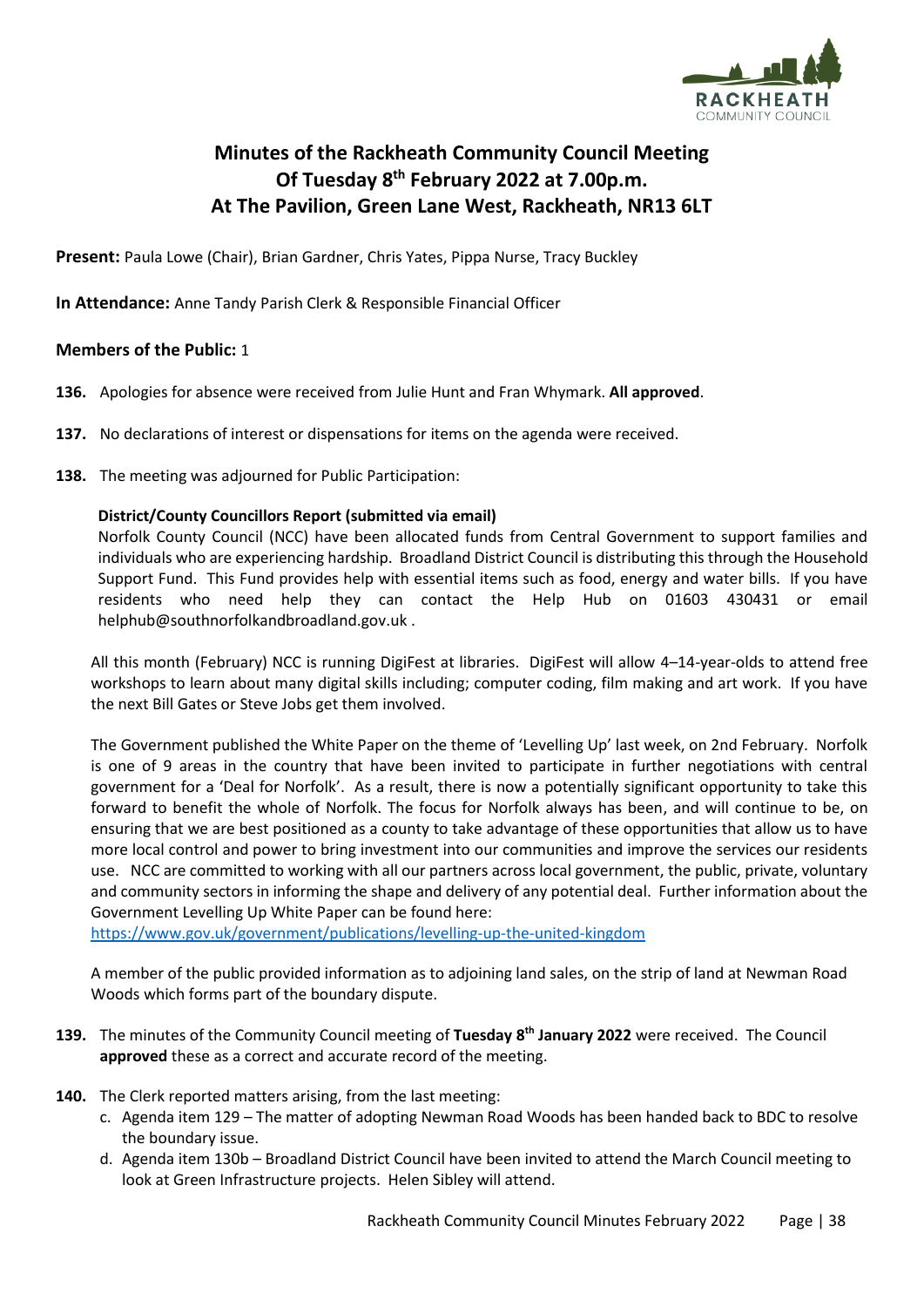

# **Minutes of the Rackheath Community Council Meeting Of Tuesday 8 th February 2022 at 7.00p.m. At The Pavilion, Green Lane West, Rackheath, NR13 6LT**

**Present:** Paula Lowe (Chair), Brian Gardner, Chris Yates, Pippa Nurse, Tracy Buckley

**In Attendance:** Anne Tandy Parish Clerk & Responsible Financial Officer

# **Members of the Public:** 1

- **136.** Apologies for absence were received from Julie Hunt and Fran Whymark. **All approved**.
- **137.** No declarations of interest or dispensations for items on the agenda were received.
- **138.** The meeting was adjourned for Public Participation:

# **District/County Councillors Report (submitted via email)**

Norfolk County Council (NCC) have been allocated funds from Central Government to support families and individuals who are experiencing hardship. Broadland District Council is distributing this through the Household Support Fund. This Fund provides help with essential items such as food, energy and water bills. If you have residents who need help they can contact the Help Hub on 01603 430431 or email helphub@southnorfolkandbroadland.gov.uk .

All this month (February) NCC is running DigiFest at libraries. DigiFest will allow 4–14-year-olds to attend free workshops to learn about many digital skills including; computer coding, film making and art work. If you have the next Bill Gates or Steve Jobs get them involved.

The Government published the White Paper on the theme of 'Levelling Up' last week, on 2nd February. Norfolk is one of 9 areas in the country that have been invited to participate in further negotiations with central government for a 'Deal for Norfolk'. As a result, there is now a potentially significant opportunity to take this forward to benefit the whole of Norfolk. The focus for Norfolk always has been, and will continue to be, on ensuring that we are best positioned as a county to take advantage of these opportunities that allow us to have more local control and power to bring investment into our communities and improve the services our residents use. NCC are committed to working with all our partners across local government, the public, private, voluntary and community sectors in informing the shape and delivery of any potential deal. Further information about the Government Levelling Up White Paper can be found here:

<https://www.gov.uk/government/publications/levelling-up-the-united-kingdom>

A member of the public provided information as to adjoining land sales, on the strip of land at Newman Road Woods which forms part of the boundary dispute.

- **139.** The minutes of the Community Council meeting of **Tuesday 8 th January 2022** were received. The Council **approved** these as a correct and accurate record of the meeting.
- **140.** The Clerk reported matters arising, from the last meeting:
	- c. Agenda item 129 The matter of adopting Newman Road Woods has been handed back to BDC to resolve the boundary issue.
	- d. Agenda item 130b Broadland District Council have been invited to attend the March Council meeting to look at Green Infrastructure projects. Helen Sibley will attend.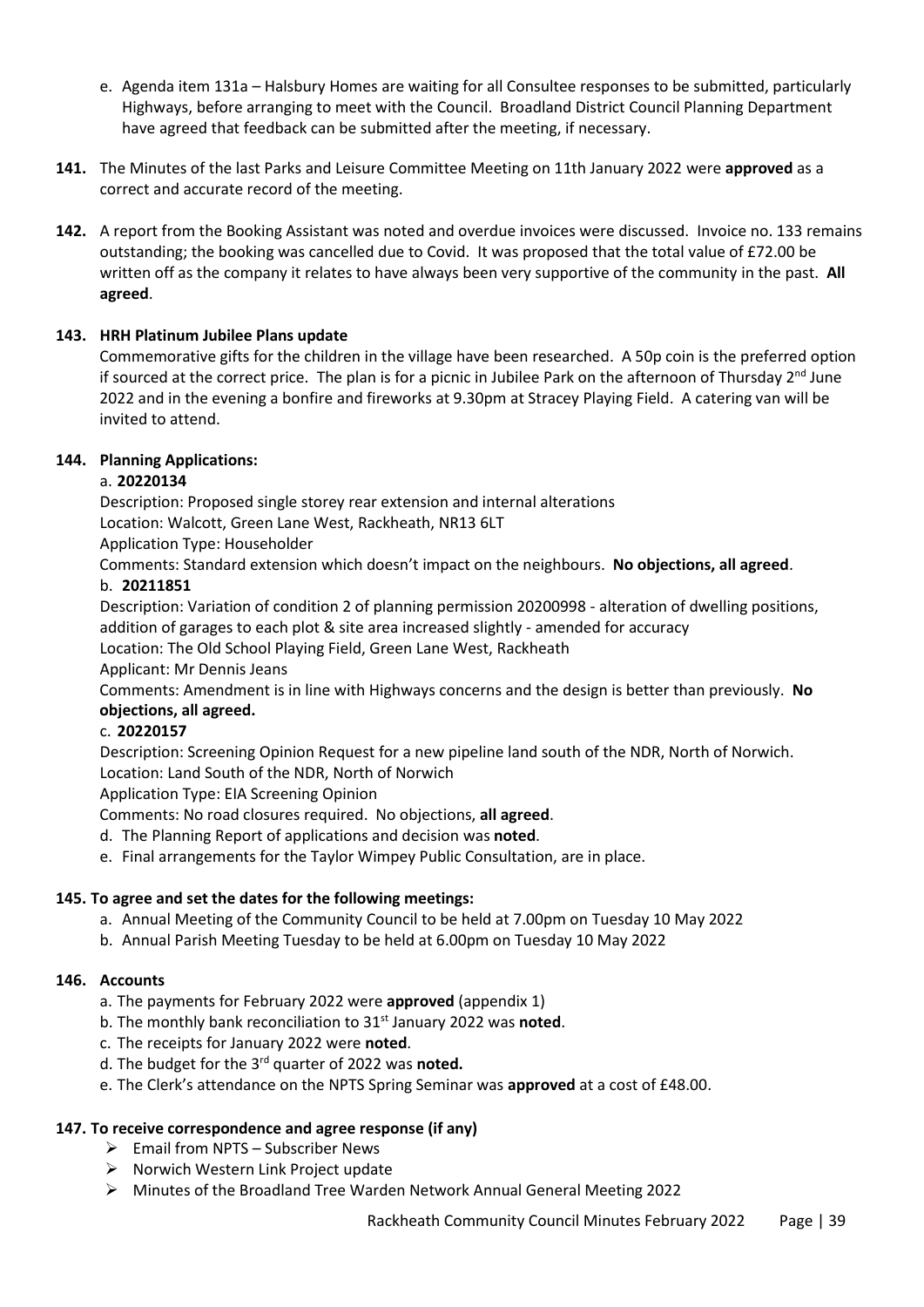- e. Agenda item 131a Halsbury Homes are waiting for all Consultee responses to be submitted, particularly Highways, before arranging to meet with the Council. Broadland District Council Planning Department have agreed that feedback can be submitted after the meeting, if necessary.
- **141.** The Minutes of the last Parks and Leisure Committee Meeting on 11th January 2022 were **approved** as a correct and accurate record of the meeting.
- **142.** A report from the Booking Assistant was noted and overdue invoices were discussed. Invoice no. 133 remains outstanding; the booking was cancelled due to Covid. It was proposed that the total value of £72.00 be written off as the company it relates to have always been very supportive of the community in the past. **All agreed**.

# **143. HRH Platinum Jubilee Plans update**

Commemorative gifts for the children in the village have been researched. A 50p coin is the preferred option if sourced at the correct price. The plan is for a picnic in Jubilee Park on the afternoon of Thursday 2<sup>nd</sup> June 2022 and in the evening a bonfire and fireworks at 9.30pm at Stracey Playing Field. A catering van will be invited to attend.

# **144. Planning Applications:**

# a. **20220134**

Description: Proposed single storey rear extension and internal alterations

Location: Walcott, Green Lane West, Rackheath, NR13 6LT

Application Type: Householder

Comments: Standard extension which doesn't impact on the neighbours. **No objections, all agreed**.

### b. **20211851**

Description: Variation of condition 2 of planning permission 20200998 - alteration of dwelling positions, addition of garages to each plot & site area increased slightly - amended for accuracy

Location: The Old School Playing Field, Green Lane West, Rackheath

Applicant: Mr Dennis Jeans

Comments: Amendment is in line with Highways concerns and the design is better than previously. **No objections, all agreed.**

### c. **20220157**

Description: Screening Opinion Request for a new pipeline land south of the NDR, North of Norwich. Location: Land South of the NDR, North of Norwich

Application Type: EIA Screening Opinion

Comments: No road closures required. No objections, **all agreed**.

- d. The Planning Report of applications and decision was **noted**.
- e. Final arrangements for the Taylor Wimpey Public Consultation, are in place.

# **145. To agree and set the dates for the following meetings:**

- a. Annual Meeting of the Community Council to be held at 7.00pm on Tuesday 10 May 2022
- b. Annual Parish Meeting Tuesday to be held at 6.00pm on Tuesday 10 May 2022

### **146. Accounts**

- a. The payments for February 2022 were **approved** (appendix 1)
- b. The monthly bank reconciliation to 31st January 2022 was **noted**.
- c. The receipts for January 2022 were **noted**.
- d. The budget for the 3rd quarter of 2022 was **noted.**
- e. The Clerk's attendance on the NPTS Spring Seminar was **approved** at a cost of £48.00.

### **147. To receive correspondence and agree response (if any)**

- $\triangleright$  Email from NPTS Subscriber News
- ➢ Norwich Western Link Project update
- ➢ Minutes of the Broadland Tree Warden Network Annual General Meeting 2022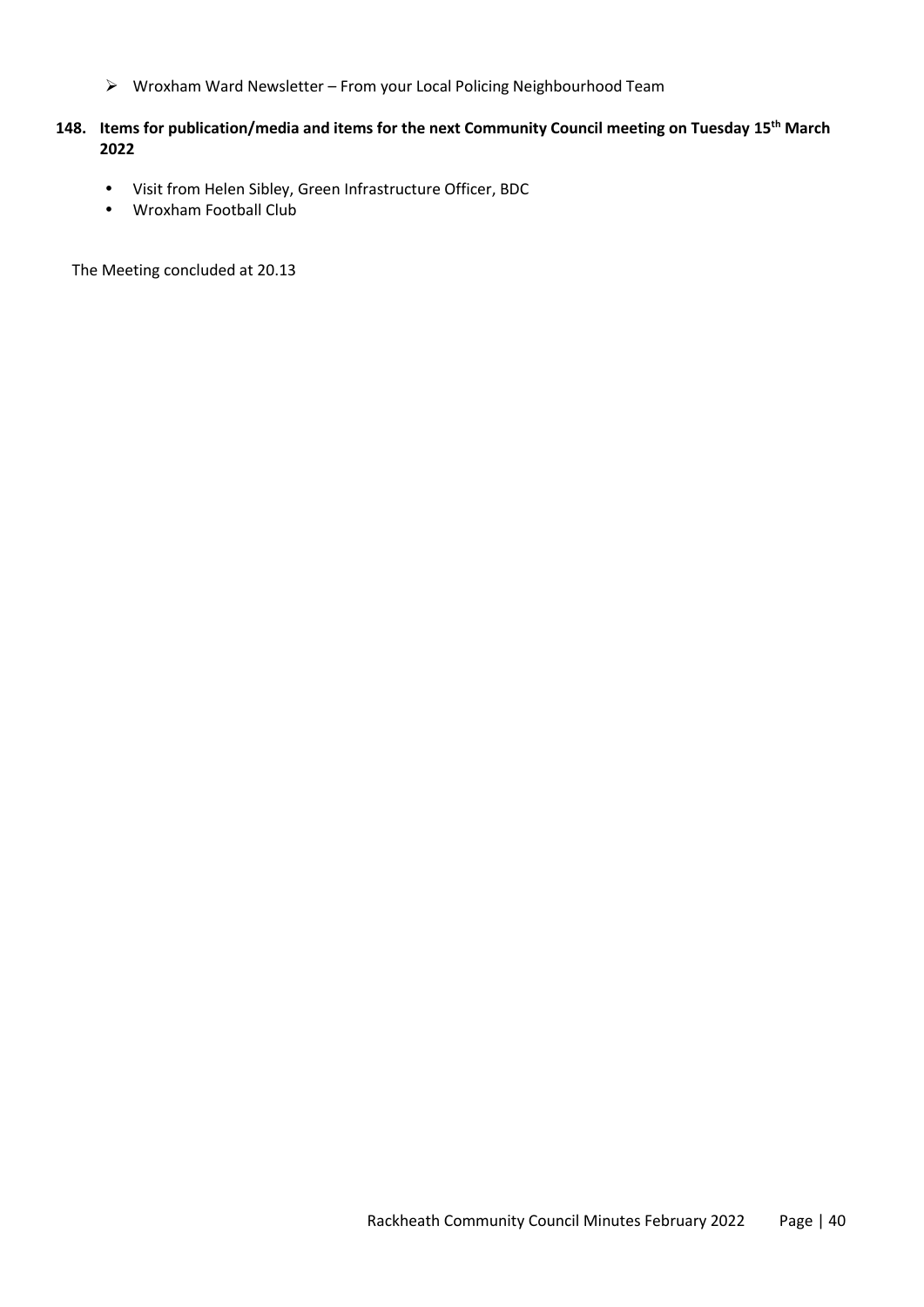➢ Wroxham Ward Newsletter – From your Local Policing Neighbourhood Team

# **148. Items for publication/media and items for the next Community Council meeting on Tuesday 15th March 2022**

- Visit from Helen Sibley, Green Infrastructure Officer, BDC
- Wroxham Football Club

The Meeting concluded at 20.13